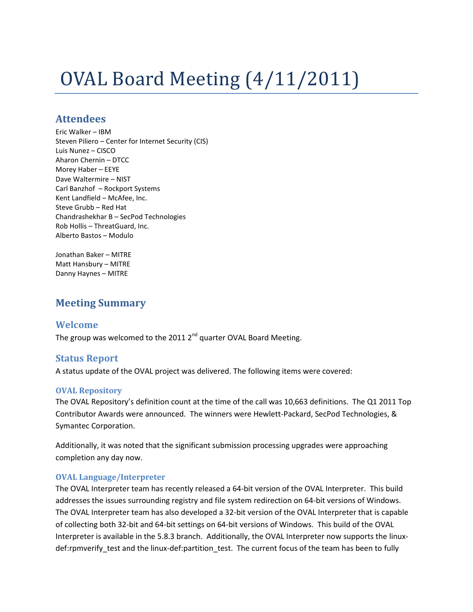# OVAL Board Meeting (4/11/2011)

## **Attendees**

Eric Walker – IBM Steven Piliero – Center for Internet Security (CIS) Luis Nunez – CISCO Aharon Chernin – DTCC Morey Haber – EEYE Dave Waltermire – NIST Carl Banzhof – Rockport Systems Kent Landfield – McAfee, Inc. Steve Grubb – Red Hat Chandrashekhar B – SecPod Technologies Rob Hollis – ThreatGuard, Inc. Alberto Bastos – Modulo

Jonathan Baker – MITRE Matt Hansbury – MITRE Danny Haynes – MITRE

# **Meeting Summary**

## **Welcome**

The group was welcomed to the 2011 2<sup>nd</sup> quarter OVAL Board Meeting.

### **Status Report**

A status update of the OVAL project was delivered. The following items were covered:

#### **OVAL Repository**

The OVAL Repository's definition count at the time of the call was 10,663 definitions. The Q1 2011 Top Contributor Awards were announced. The winners were Hewlett-Packard, SecPod Technologies, & Symantec Corporation.

Additionally, it was noted that the significant submission processing upgrades were approaching completion any day now.

#### **OVAL Language/Interpreter**

The OVAL Interpreter team has recently released a 64-bit version of the OVAL Interpreter. This build addresses the issues surrounding registry and file system redirection on 64-bit versions of Windows. The OVAL Interpreter team has also developed a 32-bit version of the OVAL Interpreter that is capable of collecting both 32-bit and 64-bit settings on 64-bit versions of Windows. This build of the OVAL Interpreter is available in the 5.8.3 branch. Additionally, the OVAL Interpreter now supports the linuxdef:rpmverify\_test and the linux-def:partition\_test. The current focus of the team has been to fully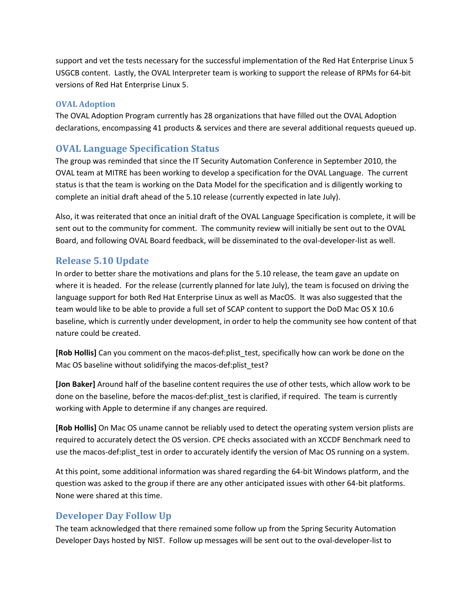support and vet the tests necessary for the successful implementation of the Red Hat Enterprise Linux 5 USGCB content. Lastly, the OVAL Interpreter team is working to support the release of RPMs for 64-bit versions of Red Hat Enterprise Linux 5.

#### **OVAL Adoption**

The OVAL Adoption Program currently has 28 organizations that have filled out the OVAL Adoption declarations, encompassing 41 products & services and there are several additional requests queued up.

## **OVAL Language Specification Status**

The group was reminded that since the IT Security Automation Conference in September 2010, the OVAL team at MITRE has been working to develop a specification for the OVAL Language. The current status is that the team is working on the Data Model for the specification and is diligently working to complete an initial draft ahead of the 5.10 release (currently expected in late July).

Also, it was reiterated that once an initial draft of the OVAL Language Specification is complete, it will be sent out to the community for comment. The community review will initially be sent out to the OVAL Board, and following OVAL Board feedback, will be disseminated to the oval-developer-list as well.

## **Release 5.10 Update**

In order to better share the motivations and plans for the 5.10 release, the team gave an update on where it is headed. For the release (currently planned for late July), the team is focused on driving the language support for both Red Hat Enterprise Linux as well as MacOS. It was also suggested that the team would like to be able to provide a full set of SCAP content to support the DoD Mac OS X 10.6 baseline, which is currently under development, in order to help the community see how content of that nature could be created.

**[Rob Hollis]** Can you comment on the macos-def:plist\_test, specifically how can work be done on the Mac OS baseline without solidifying the macos-def:plist\_test?

**[Jon Baker]** Around half of the baseline content requires the use of other tests, which allow work to be done on the baseline, before the macos-def:plist test is clarified, if required. The team is currently working with Apple to determine if any changes are required.

**[Rob Hollis]** On Mac OS uname cannot be reliably used to detect the operating system version plists are required to accurately detect the OS version. CPE checks associated with an XCCDF Benchmark need to use the macos-def:plist test in order to accurately identify the version of Mac OS running on a system.

At this point, some additional information was shared regarding the 64-bit Windows platform, and the question was asked to the group if there are any other anticipated issues with other 64-bit platforms. None were shared at this time.

# **Developer Day Follow Up**

The team acknowledged that there remained some follow up from the Spring Security Automation Developer Days hosted by NIST. Follow up messages will be sent out to the oval-developer-list to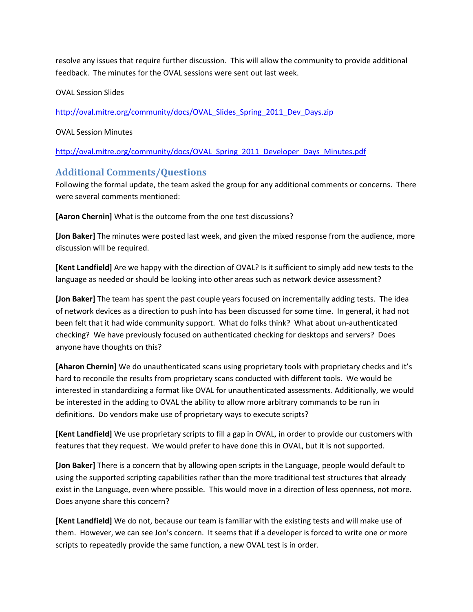resolve any issues that require further discussion. This will allow the community to provide additional feedback. The minutes for the OVAL sessions were sent out last week.

OVAL Session Slides

[http://oval.mitre.org/community/docs/OVAL\\_Slides\\_Spring\\_2011\\_Dev\\_Days.zip](http://oval.mitre.org/community/docs/OVAL_Slides_Spring_2011_Dev_Days.zip)

#### OVAL Session Minutes

[http://oval.mitre.org/community/docs/OVAL\\_Spring\\_2011\\_Developer\\_Days\\_Minutes.pdf](http://oval.mitre.org/community/docs/OVAL_Spring_2011_Developer_Days_Minutes.pdf)

## **Additional Comments/Questions**

Following the formal update, the team asked the group for any additional comments or concerns. There were several comments mentioned:

**[Aaron Chernin]** What is the outcome from the one test discussions?

**[Jon Baker]** The minutes were posted last week, and given the mixed response from the audience, more discussion will be required.

**[Kent Landfield]** Are we happy with the direction of OVAL? Is it sufficient to simply add new tests to the language as needed or should be looking into other areas such as network device assessment?

**[Jon Baker]** The team has spent the past couple years focused on incrementally adding tests. The idea of network devices as a direction to push into has been discussed for some time. In general, it had not been felt that it had wide community support. What do folks think? What about un-authenticated checking? We have previously focused on authenticated checking for desktops and servers? Does anyone have thoughts on this?

**[Aharon Chernin]** We do unauthenticated scans using proprietary tools with proprietary checks and it's hard to reconcile the results from proprietary scans conducted with different tools. We would be interested in standardizing a format like OVAL for unauthenticated assessments. Additionally, we would be interested in the adding to OVAL the ability to allow more arbitrary commands to be run in definitions. Do vendors make use of proprietary ways to execute scripts?

**[Kent Landfield]** We use proprietary scripts to fill a gap in OVAL, in order to provide our customers with features that they request. We would prefer to have done this in OVAL, but it is not supported.

**[Jon Baker]** There is a concern that by allowing open scripts in the Language, people would default to using the supported scripting capabilities rather than the more traditional test structures that already exist in the Language, even where possible. This would move in a direction of less openness, not more. Does anyone share this concern?

**[Kent Landfield]** We do not, because our team is familiar with the existing tests and will make use of them. However, we can see Jon's concern. It seems that if a developer is forced to write one or more scripts to repeatedly provide the same function, a new OVAL test is in order.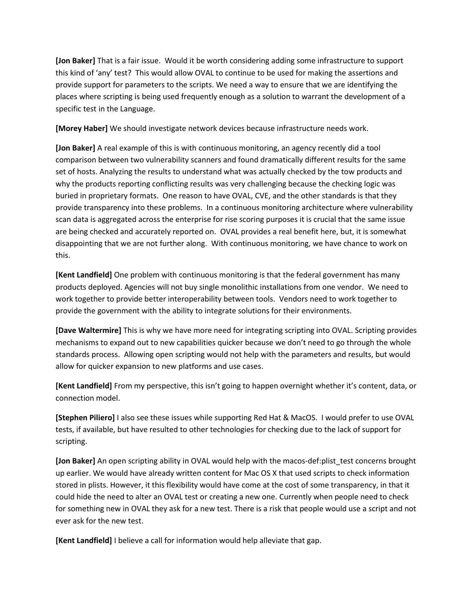**[Jon Baker]** That is a fair issue. Would it be worth considering adding some infrastructure to support this kind of 'any' test? This would allow OVAL to continue to be used for making the assertions and provide support for parameters to the scripts. We need a way to ensure that we are identifying the places where scripting is being used frequently enough as a solution to warrant the development of a specific test in the Language.

**[Morey Haber]** We should investigate network devices because infrastructure needs work.

**[Jon Baker]** A real example of this is with continuous monitoring, an agency recently did a tool comparison between two vulnerability scanners and found dramatically different results for the same set of hosts. Analyzing the results to understand what was actually checked by the tow products and why the products reporting conflicting results was very challenging because the checking logic was buried in proprietary formats. One reason to have OVAL, CVE, and the other standards is that they provide transparency into these problems. In a continuous monitoring architecture where vulnerability scan data is aggregated across the enterprise for rise scoring purposes it is crucial that the same issue are being checked and accurately reported on. OVAL provides a real benefit here, but, it is somewhat disappointing that we are not further along. With continuous monitoring, we have chance to work on this.

**[Kent Landfield]** One problem with continuous monitoring is that the federal government has many products deployed. Agencies will not buy single monolithic installations from one vendor. We need to work together to provide better interoperability between tools. Vendors need to work together to provide the government with the ability to integrate solutions for their environments.

**[Dave Waltermire]** This is why we have more need for integrating scripting into OVAL. Scripting provides mechanisms to expand out to new capabilities quicker because we don't need to go through the whole standards process. Allowing open scripting would not help with the parameters and results, but would allow for quicker expansion to new platforms and use cases.

**[Kent Landfield]** From my perspective, this isn't going to happen overnight whether it's content, data, or connection model.

**[Stephen Piliero]** I also see these issues while supporting Red Hat & MacOS. I would prefer to use OVAL tests, if available, but have resulted to other technologies for checking due to the lack of support for scripting.

**[Jon Baker]** An open scripting ability in OVAL would help with the macos-def:plist\_test concerns brought up earlier. We would have already written content for Mac OS X that used scripts to check information stored in plists. However, it this flexibility would have come at the cost of some transparency, in that it could hide the need to alter an OVAL test or creating a new one. Currently when people need to check for something new in OVAL they ask for a new test. There is a risk that people would use a script and not ever ask for the new test.

**[Kent Landfield]** I believe a call for information would help alleviate that gap.